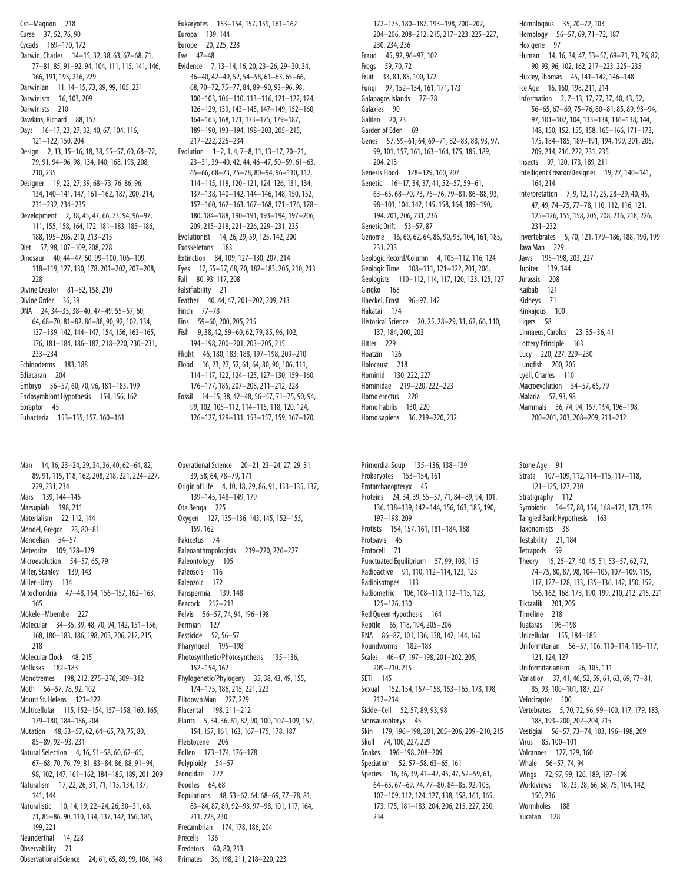Cro-Magnon 218 Curse 37, 52, 76, 90 Cycads 169-170, 172 Darwin, Charles 14-15, 32, 38, 63, 67-68, 71, 77-81, 85, 91-92, 94, 104, 111, 115, 141, 146, 166, 191, 193, 216, 229 Darwinian 11, 14-15, 73, 89, 99, 105, 231 Darwinism 16, 103, 209 Darwinists 210 Dawkins, Richard 88, 157 Days 16-17, 23, 27, 32, 40, 67, 104, 116, 121-122, 150, 204 Design 2, 13, 15-16, 18, 38, 55-57, 60, 68-72, 79, 91, 94-96, 98, 134, 140, 168, 193, 208, 210.235 Designer 19, 22, 27, 39, 68-73, 76, 86, 96, 134, 140-141, 147, 161-162, 187, 200, 214, 231-232 234-235 Development 2, 38, 45, 47, 66, 73, 94, 96-97, 111, 155, 158, 164, 172, 181-183, 185-186, 188.195-206.210.213-215 Diet 57, 98, 107-109, 208, 228 Dinosaur 40, 44-47, 60, 99-100, 106-109, 118-119, 127, 130, 178, 201-202, 207-208, 228 Divine Creator 81-82, 158, 210 Divine Order 36, 39 DNA 24, 34-35, 38-40, 47-49, 55-57, 60, 64, 68-70, 81-82, 86-88, 90, 92, 102, 134, 137-139, 142, 144-147, 154, 156, 163-165, 176, 181-184, 186-187, 218-220, 230-231,  $233 - 234$ Echinoderms 183, 188 Fdiacaran 204 Embryo 56-57, 60, 70, 96, 181-183, 199 Endosymbiont Hypothesis 154, 156, 162 Eoraptor 45 Eubacteria 153-155, 157, 160-161

Man 14, 16, 23-24, 29, 34, 36, 40, 62-64, 82, 89, 91, 115, 118, 162, 208, 218, 221, 224-227, 229, 231, 234 Mars 139, 144-145 Marsupials 198, 211 Materialism 22, 112, 144 Mendel, Gregor 23, 80-81 Mendelian 54-57 Meteorite 109, 128-129 Microevolution 54-57, 65, 79 Miller, Stanley 139, 143 Miller-Urey 134 Mitochondria 47-48, 154, 156-157, 162-163, 165 Mokele-Mbembe 227 Molecular 34-35, 39, 48, 70, 94, 142, 151-156, 168, 180-183, 186, 198, 203, 206, 212, 215, 218 Molecular Clock 48, 215 Mollusks 182-183 Monotremes 198, 212, 275-276, 309-312 Moth 56-57, 78, 92, 102 Mount St. Helens 121-122 Multicellular 115, 152-154, 157-158, 160, 165, 179-180.184-186.204 Mutation 48.53-57.62.64-65.70.75.80. 85-89, 92-93, 231 Natural Selection 4, 16, 51-58, 60, 62-65, 67-68, 70, 76, 79, 81, 83-84, 86, 88, 91-94, 98, 102, 147, 161-162, 184-185, 189, 201, 209 Naturalism 17, 22, 26, 31, 71, 115, 134, 137, 141.144 Naturalistic 10, 14, 19, 22-24, 26, 30-31, 68, 71, 85-86, 90, 110, 134, 137, 142, 156, 186, 199, 221 Neanderthal 14, 228 Observability 21 Observational Science 24, 61, 65, 89, 99, 106, 148 Eukaryotes 153-154, 157, 159, 161-162 Europa 139, 144 Europe 20, 225, 228 Eve 47-48 Evidence 7, 13-14, 16, 20, 23-26, 29-30, 34, 36-40, 42-49, 52, 54-58, 61-63, 65-66, 68, 70-72, 75-77, 84, 89-90, 93-96, 98, 100-103, 106-110, 113-116, 121-122, 124, 126-129, 139, 143-145, 147-149, 152-160, 164-165, 168, 171, 173-175, 179-187, 189-190, 193-194, 198-203, 205-215, 217-222, 226-234 Evolution 1-2, 1, 4, 7-8, 11, 13-17, 20-21, 23-31, 39-40, 42, 44, 46-47, 50-59, 61-63, 65-66, 68-73, 75-78, 80-94, 96-110, 112, 114-115, 118, 120-121, 124, 126, 131, 134, 137-138, 140-142, 144-146, 148, 150, 152, 157-160, 162-163, 167-168, 171-176, 178-180, 184-188, 190-191, 193-194, 197-206, 209, 215-218, 221-226, 229-231, 235 Evolutionist 14, 26, 29, 59, 125, 142, 200 Exoskeletons 183 Extinction 84, 109, 127-130, 207, 214 Eyes 17, 55-57, 68, 70, 182-183, 205, 210, 213 Fall 80, 93, 117, 208 Falsifiability 21 Feather 40, 44, 47, 201-202, 209, 213 Finch 77-78 Fins 59-60, 200, 205, 215 Fish 9, 38, 42, 59-60, 62, 79, 85, 96, 102, 194-198, 200-201, 203-205, 215 Flight 46, 180, 183, 188, 197-198, 209-210 Flood 16, 23, 27, 52, 61, 64, 80, 90, 106, 111, 114-117, 122, 124-125, 127-130, 159-160, 176-177, 185, 207-208, 211-212, 228 Fossil 14-15, 38, 42-48, 56-57, 71-75, 90, 94, 99, 102, 105-112, 114-115, 118, 120, 124, 126-127, 129-131, 153-157, 159, 167-170,

Operational Science 20-21, 23-24, 27, 29, 31, 39, 58, 64, 78-79, 171 Origin of Life 4, 10, 18, 29, 86, 91, 133-135, 137, 139-145, 148-149, 179 Ota Benga 225 Oxygen 127, 135-136, 143, 145, 152-155, 159.162 Pakicetus 74 Paleoanthropologists 219-220, 226-227 Paleontology 105 Paleosols 116 Paleozoic 172 Panspermia 139, 148 Peacock 212-213 Pelvis 56-57, 74, 94, 196-198 Permian 127 Pesticide 52, 56-57 Pharyngeal 195-198 Photosynthetic/Photosynthesis 135-136, 152-154, 162 Phylogenetic/Phylogeny 35, 38, 43, 49, 155, 174-175, 186, 215, 221, 223 Piltdown Man 227, 229 Placental 198, 211-212 Plants 5, 34, 36, 61, 82, 90, 100, 107-109, 152, 154, 157, 161, 163, 167-175, 178, 187 Pleistocene 206 Pollen 173-174, 176-178 Polyploidy 54-57 Pongidae 222 Poodles 64,68 Populations 48, 53-62, 64, 68-69, 77-78, 81, 83-84, 87, 89, 92-93, 97-98, 101, 117, 164, 211.228.230 Precambrian 174, 178, 186, 204 Precells 136 Predators 60, 80, 213 Primates 36, 198, 211, 218-220, 223

172-175, 180-187, 193-198, 200-202, 204-206, 208-212, 215, 217-223, 225-227, 230, 234, 236 Fraud 45, 92, 96-97, 102 Frogs 59, 70, 72 Fruit 33, 81, 85, 100, 172 Fungi 97, 152-154, 161, 171, 173 Galapagos Islands 77-78 Galaxies 90 Galileo 20, 23 Garden of Eden 69 Genes 57, 59-61, 64, 69-71, 82-83, 88, 93, 97, 99, 101, 157, 161, 163-164, 175, 185, 189, 204, 213 Genesis Flood 128-129, 160, 207 Genetic 16-17, 34, 37, 41, 52-57, 59-61, 63-65, 68-70, 73, 75-76, 79-81, 86-88, 93, 98-101, 104, 142, 145, 158, 164, 189-190, 194, 201, 206, 231, 236 Genetic Drift 53-57, 87 Genome 16, 60, 62, 64, 86, 90, 93, 104, 161, 185, 231, 233 Geologic Record/Column 4, 105-112, 116, 124 Geologic Time 108-111.121-122.201.206. Geologists 110-112, 114, 117, 120, 123, 125, 127 Ginako 168 Haeckel, Ernst 96-97, 142 Hakatai 174 Historical Science 20, 25, 28-29, 31, 62, 66, 110, 137, 184, 200, 203 Hitler 229 Hoatzin 126 Holocaust 218 Hominid 130, 222, 227 Hominidae 219-220, 222-223 Homo erectus 220 Homo habilis 130, 220 Homo sapiens 36, 219-220, 232

Primordial Soup 135-136, 138-139 Prokaryotes 153-154, 161 Protarchaeopteryx 45 Proteins 24, 34, 39, 55-57, 71, 84-89, 94, 101, 136, 138-139, 142-144, 156, 163, 185, 190, 197-198, 209 Protists 154, 157, 161, 181-184, 188 Protoavis 45 Protocell 71 Punctuated Equilibrium 57, 99, 103, 115 Radioactive 91, 110, 112-114, 123, 125 Radioisotopes 113 Radiometric 106, 108-110, 112-115, 123, 125-126, 130 Red Queen Hypothesis 164 Reptile 65, 118, 194, 205-206 RNA 86-87, 101, 136, 138, 142, 144, 160 Roundworms 182-183 Scales 46-47, 197-198, 201-202, 205, 209-210, 215 **SETI 145** Sexual 152, 154, 157-158, 163-165, 178, 198,  $212 - 214$ Sickle-Cell 52, 57, 89, 93, 98 Sinosauropteryx 45 Skin 179, 196-198, 201, 205-206, 209-210, 215 Skull 74, 100, 227, 229 Snakes 196-198, 208-209 Speciation 52, 57-58, 63-65, 161 Species 16, 36, 39, 41-42, 45, 47, 52-59, 61, 64-65, 67-69, 74, 77-80, 84-85, 92, 103, 107-109, 112, 124, 127, 138, 158, 161, 165, 173, 175, 181-183, 204, 206, 215, 227, 230, 234

Homologous 35, 70-72, 103 Homology 56-57, 69, 71-72, 187 Hox gene 97 Human 14, 16, 34, 47, 53-57, 69-71, 73, 76, 82, 90, 93, 96, 102, 162, 217-223, 225-235 Huxley, Thomas 45, 141-142, 146-148 Ice Age 16, 160, 198, 211, 214 Information 2, 7-13, 17, 27, 37, 40, 43, 52, 56-65, 67-69, 75-76, 80-81, 85, 89, 93-94, 97, 101-102, 104, 133-134, 136-138, 144, 148, 150, 152, 155, 158, 165-166, 171-173, 175, 184-185, 189-191, 194, 199, 201, 205, 209, 214, 216, 222, 231, 235 Insects 97, 120, 173, 189, 211 Intelligent Creator/Designer 19, 27, 140-141, 164.214 Interpretation 7, 9, 12, 17, 25, 28-29, 40, 45, 47, 49, 74-75, 77-78, 110, 112, 116, 121, 125-126, 155, 158, 205, 208, 216, 218, 226, 231-232 Invertebrates 5, 70, 121, 179-186, 188, 190, 199 Java Man 229 Jaws 195-198, 203, 227 luniter 139.144 Jurassic 208 Kaihah 121 Kidneys 71 Kinkajous 100 Ligers 58 Linnaeus, Carolus 23, 35-36, 41 Lottery Principle 163 Lucy 220, 227, 229-230 Lungfish 200, 205 Lyell, Charles 110 Macroevolution 54-57, 65, 79 Malaria 57, 93, 98 Mammals 36, 74, 94, 157, 194, 196-198, 200-201, 203, 208-209, 211-212

Stone Age 91 Strata 107-109, 112, 114-115, 117-118, 121-125, 127, 230 Stratigraphy 112 Symbiotic 54-57, 80, 154, 168-171, 173, 178 Tangled Bank Hypothesis 163 Taxonomists 38 Testability 21, 184 Tetrapods 59 Theory 15, 25-27, 40, 45, 51, 53-57, 62, 72, 74-75, 80, 87, 98, 104-105, 107-109, 115, 117, 127-128, 133, 135-136, 142, 150, 152, 156, 162, 168, 173, 190, 199, 210, 212, 215, 221 Tiktaalik 201, 205 Timeline 218 Tuataras 196-198 Unicellular 155, 184-185 Uniformitarian 56-57, 106, 110-114, 116-117, 121, 124, 127 Uniformitarianism 26, 105, 111 Variation 37, 41, 46, 52, 59, 61, 63, 69, 77-81, 85, 93, 100-101, 187, 227 Velociraptor 100 Vertebrates 5, 70, 72, 96, 99-100, 117, 179, 183, 188, 193-200, 202-204, 215 Vestigial 56-57, 73-74, 103, 196-198, 209 Virus 85, 100-101 Volcanoes 127, 129, 160 Whale 56-57, 74, 94 Wings 72, 97, 99, 126, 189, 197-198 Worldviews 18, 23, 28, 66, 68, 75, 104, 142, 150, 236 Wormholes 188 Yucatan 128